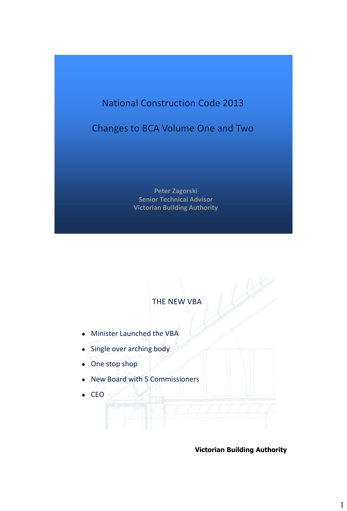# National Construction Code 2013

Changes to BCA Volume One and Two

**Peter Zagorski Senior Technical Advisor Victorian Building Authority**

## THE NEW VBA

- Minister Launched the VBA
- Single over arching body
- One stop shop
- New Board with 5 Commissioners
- $\bullet$  CEO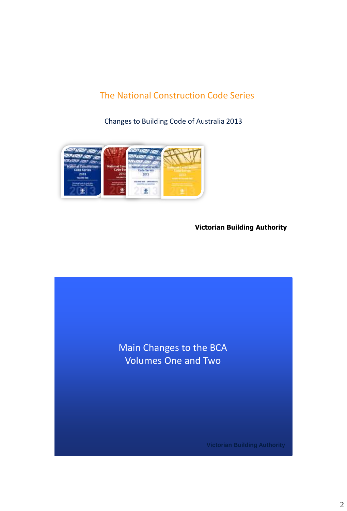## The National Construction Code Series

Changes to Building Code of Australia 2013



**Victorian Building Authority**

Main Changes to the BCA Volumes One and Two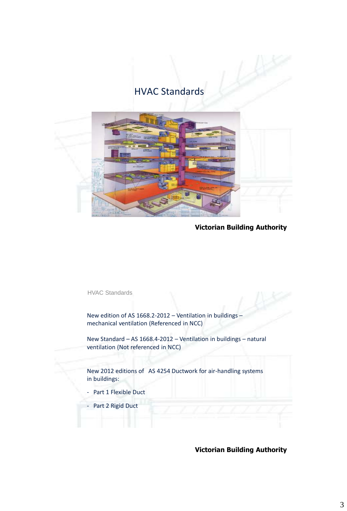## HVAC Standards



**Victorian Building Authority**

HVAC Standards

New edition of AS 1668.2-2012 – Ventilation in buildings – mechanical ventilation (Referenced in NCC)

New Standard – AS 1668.4-2012 – Ventilation in buildings – natural ventilation (Not referenced in NCC)

New 2012 editions of AS 4254 Ductwork for air-handling systems in buildings:

- Part 1 Flexible Duct
- Part 2 Rigid Duct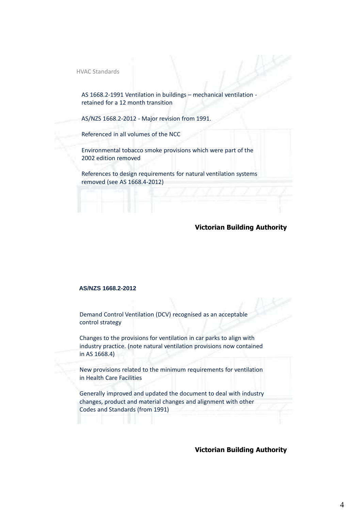HVAC Standards

AS 1668.2-1991 Ventilation in buildings – mechanical ventilation retained for a 12 month transition

AS/NZS 1668.2-2012 - Major revision from 1991.

Referenced in all volumes of the NCC

Environmental tobacco smoke provisions which were part of the 2002 edition removed

References to design requirements for natural ventilation systems removed (see AS 1668.4-2012)

#### **Victorian Building Authority**

#### **AS/NZS 1668.2-2012**

Demand Control Ventilation (DCV) recognised as an acceptable control strategy

Changes to the provisions for ventilation in car parks to align with industry practice. (note natural ventilation provisions now contained in AS 1668.4)

New provisions related to the minimum requirements for ventilation in Health Care Facilities

Generally improved and updated the document to deal with industry changes, product and material changes and alignment with other Codes and Standards (from 1991)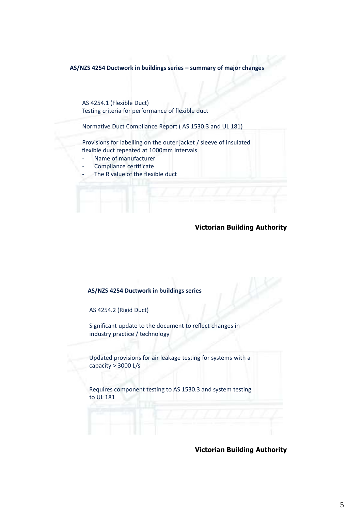**AS/NZS 4254 Ductwork in buildings series – summary of major changes** 

AS 4254.1 (Flexible Duct) Testing criteria for performance of flexible duct

Normative Duct Compliance Report ( AS 1530.3 and UL 181)

Provisions for labelling on the outer jacket / sleeve of insulated flexible duct repeated at 1000mm intervals

- Name of manufacturer
- Compliance certificate
- The R value of the flexible duct

### **Victorian Building Authority**

#### **AS/NZS 4254 Ductwork in buildings series**

AS 4254.2 (Rigid Duct)

Significant update to the document to reflect changes in industry practice / technology

Updated provisions for air leakage testing for systems with a capacity > 3000 L/s

Requires component testing to AS 1530.3 and system testing to UL 181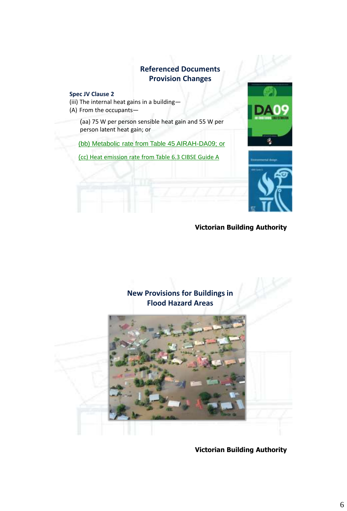### **Referenced Documents Provision Changes**

#### **Spec JV Clause 2**

(iii) The internal heat gains in a building—

(A) From the occupants—

(aa) 75 W per person sensible heat gain and 55 W per person latent heat gain; or

(bb) Metabolic rate from Table 45 AIRAH-DA09; or

(cc) Heat emission rate from Table 6.3 CIBSE Guide A





**Victorian Building Authority**

### **New Provisions for Buildings in Flood Hazard Areas**

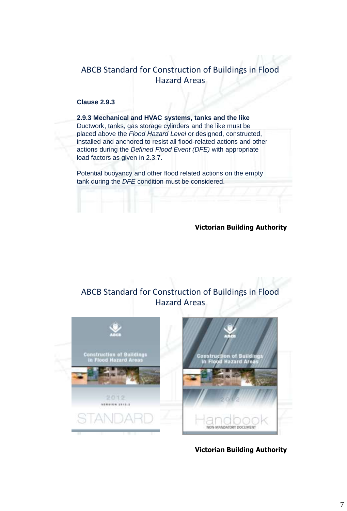### ABCB Standard for Construction of Buildings in Flood Hazard Areas

### **Clause 2.9.3**

**2.9.3 Mechanical and HVAC systems, tanks and the like** Ductwork, tanks, gas storage cylinders and the like must be placed above the *Flood Hazard Level* or designed, constructed, installed and anchored to resist all flood-related actions and other actions during the *Defined Flood Event (DFE)* with appropriate load factors as given in 2.3.7.

Potential buoyancy and other flood related actions on the empty tank during the *DFE* condition must be considered.

### **Victorian Building Authority**

## ABCB Standard for Construction of Buildings in Flood Hazard Areas





**Victorian Building Authority**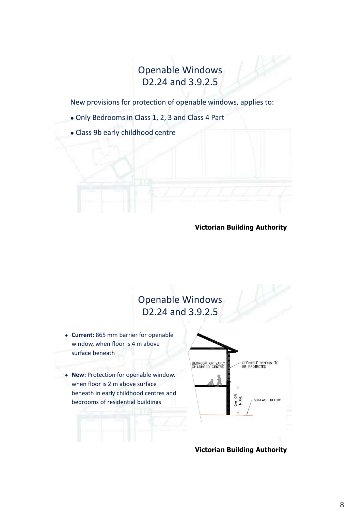# Openable Windows D2.24 and 3.9.2.5

New provisions for protection of openable windows, applies to:

- Only Bedrooms in Class 1, 2, 3 and Class 4 Part
- Class 9b early childhood centre

### **Victorian Building Authority**

# Openable Windows D2.24 and 3.9.2.5

- **Current:** 865 mm barrier for openable window, when floor is 4 m above surface beneath
- **New:** Protection for openable window, when floor is 2 m above surface beneath in early childhood centres and bedrooms of residential buildings



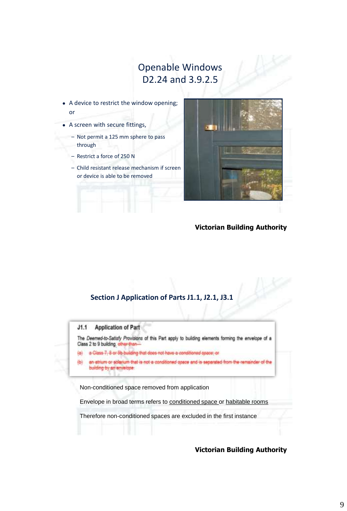## Openable Windows D2.24 and 3.9.2.5

- A device to restrict the window opening; or
- A screen with secure fittings,
	- Not permit a 125 mm sphere to pass through
	- Restrict a force of 250 N
	- Child resistant release mechanism if screen or device is able to be removed



### **Victorian Building Authority**

### **Section J Application of Parts J1.1, J2.1, J3.1**



Non-conditioned space removed from application

Envelope in broad terms refers to conditioned space or habitable rooms

Therefore non-conditioned spaces are excluded in the first instance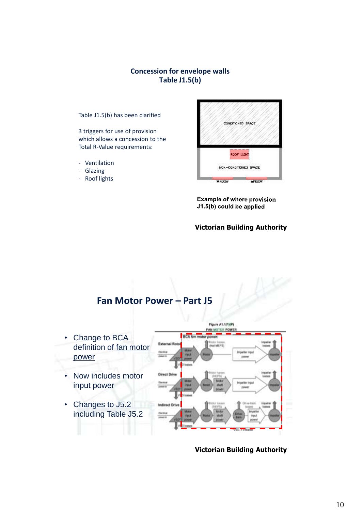### **Concession for envelope walls Table J1.5(b)**

Table J1.5(b) has been clarified

3 triggers for use of provision which allows a concession to the Total R-Value requirements:

- Ventilation
- Glazing
- Roof lights



**Example of where provision** J1.5(b) could be applied

Figure A1.1(FMP)

### **Victorian Building Authority**



AN MOTOR POWER **BCA fan** • Change to BCA **External Ro Mayt MIEPTILE** definition of fan motor power **DOM** • Now includes motor **Direct Dri** input power • Changes to J5.2 Indirect Dr including Table J5.2

**Victorian Building Authority**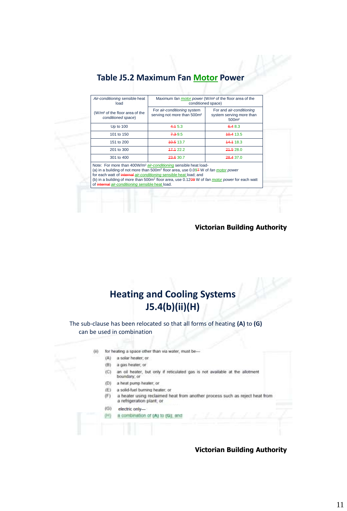## **Table J5.2 Maximum Fan Motor Power**

| Air-conditioning sensible heat<br>load                                                                                 | Maximum fan motor power (W/m <sup>2</sup> of the floor area of the<br>conditioned space)                                                                                                                                                                                                                  |                                                                           |
|------------------------------------------------------------------------------------------------------------------------|-----------------------------------------------------------------------------------------------------------------------------------------------------------------------------------------------------------------------------------------------------------------------------------------------------------|---------------------------------------------------------------------------|
| (W/m <sup>2</sup> of the floor area of the<br>conditioned space)                                                       | For air-conditioning system<br>serving not more than 500m <sup>2</sup>                                                                                                                                                                                                                                    | For and air-conditioning<br>system serving more than<br>500 <sub>m²</sub> |
| Up to 100                                                                                                              | 4.45.3                                                                                                                                                                                                                                                                                                    | 6.48.3                                                                    |
| 101 to 150                                                                                                             | 7.39.5                                                                                                                                                                                                                                                                                                    | 40.4 13.5                                                                 |
| 151 to 200                                                                                                             | 40.513.7                                                                                                                                                                                                                                                                                                  | 44.4 18.3                                                                 |
| 201 to 300                                                                                                             | 47.422.2                                                                                                                                                                                                                                                                                                  | 24.528.0                                                                  |
| 301 to 400                                                                                                             | 23.6 30.7                                                                                                                                                                                                                                                                                                 | 28.4 37.0                                                                 |
| for each watt of internal air-conditioning sensible heat load; and<br>of internal air-conditioning sensible heat load. | Note: For more than 400W/m <sup>2</sup> air-conditioning sensible heat load-<br>(a) in a building of not more than 500m <sup>2</sup> floor area, use 0.097 W of fan motor power<br>(b) in a building of more than 500m <sup>2</sup> floor area, use 0.12 <del>09</del> W of fan motor power for each watt |                                                                           |

#### **Victorian Building Authority**

# **Heating and Cooling Systems J5.4(b)(ii)(H)**

The sub-clause has been relocated so that all forms of heating **(A)** to **(G)** can be used in combination

- for heating a space other than via water, must be- $(ii)$ 
	- (A) a solar heater; or
	- $(B)$ a gas heater, or
	- $(C)$ an oil heater, but only if reticulated gas is not available at the allotment
	- boundary, or  $(D)$ a heat pump heater, or
	- (E) a solid-fuel burning heater; or
	- a heater using reclaimed heat from another process such as reject heat from a refrigeration plant, or (F)
	-
	- $(G)$ electric only- $(+)$ a combination of (A) to (G); and